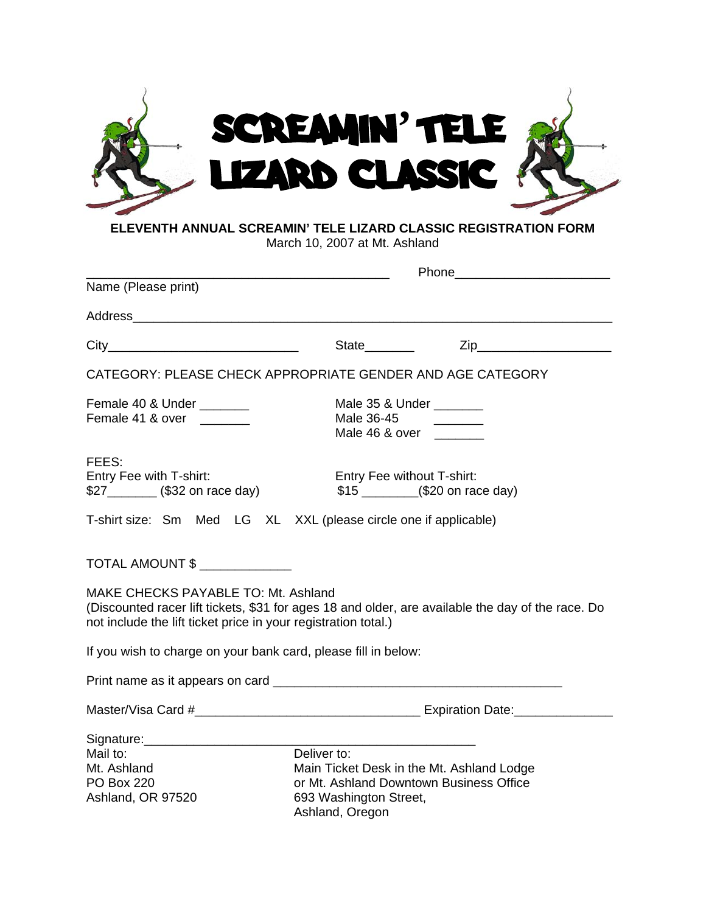| SCREAMIN' TELE<br><b>LIZARD CLASSIC</b>                         |  |
|-----------------------------------------------------------------|--|
| ELEVENTH ANNUAL SCREAMIN' TELE LIZARD CLASSIC REGISTRATION FORM |  |

March 10, 2007 at Mt. Ashland

| Name (Please print)                                                                                                                                                                                        |                                                                                                                                                  |  |  |
|------------------------------------------------------------------------------------------------------------------------------------------------------------------------------------------------------------|--------------------------------------------------------------------------------------------------------------------------------------------------|--|--|
| Address Andreas Address Address Address Address Address Address Address Address Address Address Address Address A                                                                                          |                                                                                                                                                  |  |  |
| $City$ and $()$                                                                                                                                                                                            | $\mathsf{Zip}$<br>State                                                                                                                          |  |  |
| CATEGORY: PLEASE CHECK APPROPRIATE GENDER AND AGE CATEGORY                                                                                                                                                 |                                                                                                                                                  |  |  |
| Female 40 & Under ______<br>Female 41 & over ______                                                                                                                                                        | Male 35 & Under ________<br>Male 36-45<br>Male 46 & over _______                                                                                 |  |  |
| FEES:<br>Entry Fee with T-shirt:<br>\$27___________ (\$32 on race day)                                                                                                                                     | Entry Fee without T-shirt:                                                                                                                       |  |  |
| T-shirt size: Sm Med LG XL XXL (please circle one if applicable)                                                                                                                                           |                                                                                                                                                  |  |  |
| TOTAL AMOUNT \$                                                                                                                                                                                            |                                                                                                                                                  |  |  |
| MAKE CHECKS PAYABLE TO: Mt. Ashland<br>(Discounted racer lift tickets, \$31 for ages 18 and older, are available the day of the race. Do<br>not include the lift ticket price in your registration total.) |                                                                                                                                                  |  |  |
| If you wish to charge on your bank card, please fill in below:                                                                                                                                             |                                                                                                                                                  |  |  |
|                                                                                                                                                                                                            |                                                                                                                                                  |  |  |
|                                                                                                                                                                                                            |                                                                                                                                                  |  |  |
| Signature: Management Signature:<br>Mail to:<br>Mt. Ashland<br><b>PO Box 220</b><br>Ashland, OR 97520                                                                                                      | Deliver to:<br>Main Ticket Desk in the Mt. Ashland Lodge<br>or Mt. Ashland Downtown Business Office<br>693 Washington Street,<br>Ashland, Oregon |  |  |